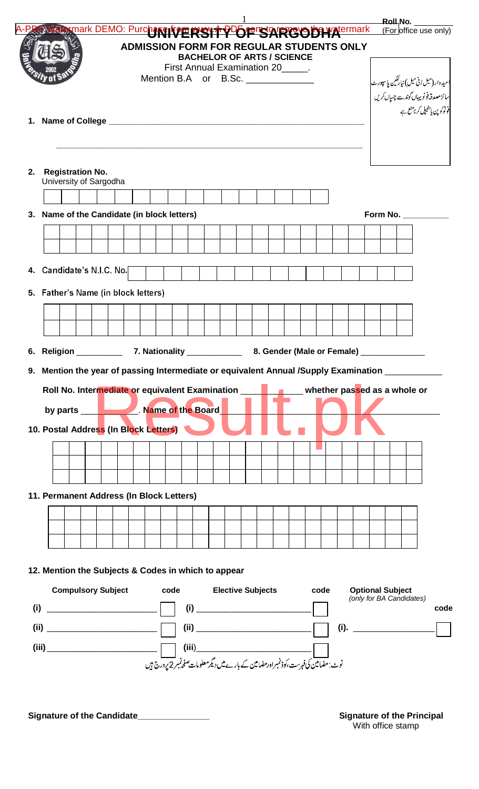|     |                                                                                                                                                                                                                                                                                                                                                |  |  |  | <b>BACHELOR OF ARTS / SCIENCE</b><br>First Annual Examination 20_____.<br>Mention B.A or B.Sc. |  |  |                                           |  |      |  |                         |  | امیدوار(میل افی میل) نیارتکین پاسپورٹ<br>سائز مصدقہ فوٹو یہاں گوندے چسپال کریں<br>فوٹوکو پن ہاسٹیپل کرنامنع ہے |
|-----|------------------------------------------------------------------------------------------------------------------------------------------------------------------------------------------------------------------------------------------------------------------------------------------------------------------------------------------------|--|--|--|------------------------------------------------------------------------------------------------|--|--|-------------------------------------------|--|------|--|-------------------------|--|----------------------------------------------------------------------------------------------------------------|
|     | <b>Registration No.</b>                                                                                                                                                                                                                                                                                                                        |  |  |  |                                                                                                |  |  |                                           |  |      |  |                         |  |                                                                                                                |
|     | University of Sargodha                                                                                                                                                                                                                                                                                                                         |  |  |  |                                                                                                |  |  |                                           |  |      |  |                         |  |                                                                                                                |
|     | 3. Name of the Candidate (in block letters)                                                                                                                                                                                                                                                                                                    |  |  |  |                                                                                                |  |  |                                           |  |      |  |                         |  | Form No. $\_\_\_\_\_\_\_\_\_\_\_\_\_$                                                                          |
|     |                                                                                                                                                                                                                                                                                                                                                |  |  |  |                                                                                                |  |  |                                           |  |      |  |                         |  |                                                                                                                |
|     |                                                                                                                                                                                                                                                                                                                                                |  |  |  |                                                                                                |  |  |                                           |  |      |  |                         |  |                                                                                                                |
|     | 4. Candidate's N.I.C. No.                                                                                                                                                                                                                                                                                                                      |  |  |  |                                                                                                |  |  |                                           |  |      |  |                         |  |                                                                                                                |
|     |                                                                                                                                                                                                                                                                                                                                                |  |  |  |                                                                                                |  |  |                                           |  |      |  |                         |  |                                                                                                                |
|     | 5. Father's Name (in block letters)                                                                                                                                                                                                                                                                                                            |  |  |  |                                                                                                |  |  |                                           |  |      |  |                         |  |                                                                                                                |
|     |                                                                                                                                                                                                                                                                                                                                                |  |  |  |                                                                                                |  |  |                                           |  |      |  |                         |  |                                                                                                                |
|     |                                                                                                                                                                                                                                                                                                                                                |  |  |  |                                                                                                |  |  |                                           |  |      |  |                         |  |                                                                                                                |
|     | 6. Religion _________<br>Mention the year of passing Intermediate or equivalent Annual /Supply Examination __________                                                                                                                                                                                                                          |  |  |  | 7. Nationality ___________                                                                     |  |  | 8. Gender (Male or Female) ______________ |  |      |  |                         |  |                                                                                                                |
|     |                                                                                                                                                                                                                                                                                                                                                |  |  |  |                                                                                                |  |  |                                           |  |      |  |                         |  |                                                                                                                |
|     | by parts ________________. Name of the Board<br>10. Postal Address (In Block Letters)                                                                                                                                                                                                                                                          |  |  |  |                                                                                                |  |  |                                           |  |      |  |                         |  |                                                                                                                |
|     |                                                                                                                                                                                                                                                                                                                                                |  |  |  |                                                                                                |  |  |                                           |  |      |  |                         |  |                                                                                                                |
|     |                                                                                                                                                                                                                                                                                                                                                |  |  |  |                                                                                                |  |  |                                           |  |      |  |                         |  |                                                                                                                |
|     |                                                                                                                                                                                                                                                                                                                                                |  |  |  |                                                                                                |  |  |                                           |  |      |  |                         |  |                                                                                                                |
|     | 11. Permanent Address (In Block Letters)                                                                                                                                                                                                                                                                                                       |  |  |  |                                                                                                |  |  |                                           |  |      |  |                         |  |                                                                                                                |
|     |                                                                                                                                                                                                                                                                                                                                                |  |  |  |                                                                                                |  |  |                                           |  |      |  |                         |  |                                                                                                                |
|     |                                                                                                                                                                                                                                                                                                                                                |  |  |  |                                                                                                |  |  |                                           |  |      |  |                         |  |                                                                                                                |
|     | 12. Mention the Subjects & Codes in which to appear                                                                                                                                                                                                                                                                                            |  |  |  |                                                                                                |  |  |                                           |  |      |  |                         |  |                                                                                                                |
|     | <b>Compulsory Subject code Elective Subjects</b>                                                                                                                                                                                                                                                                                               |  |  |  |                                                                                                |  |  |                                           |  | code |  | <b>Optional Subject</b> |  | (only for BA Candidates)                                                                                       |
| (i) | $(i)$ $\qquad \qquad$ $\qquad \qquad$ $\qquad$ $\qquad$ $\qquad$ $\qquad$ $\qquad$ $\qquad$ $\qquad$ $\qquad$ $\qquad$ $\qquad$ $\qquad$ $\qquad$ $\qquad$ $\qquad$ $\qquad$ $\qquad$ $\qquad$ $\qquad$ $\qquad$ $\qquad$ $\qquad$ $\qquad$ $\qquad$ $\qquad$ $\qquad$ $\qquad$ $\qquad$ $\qquad$ $\qquad$ $\qquad$ $\qquad$ $\qquad$ $\qquad$ |  |  |  |                                                                                                |  |  |                                           |  |      |  |                         |  |                                                                                                                |

Signature of the Candidate\_\_\_\_\_\_\_\_\_\_\_\_\_\_

**Signature of the Principal**<br>With office stamp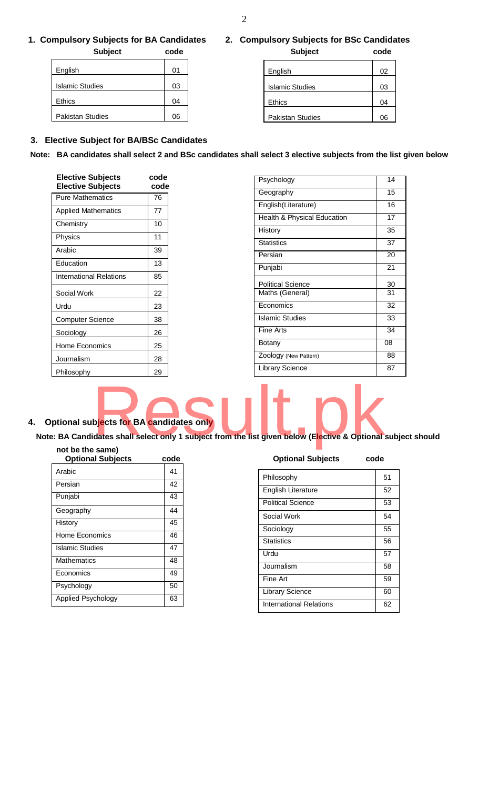# **1. Compulsory Subjects for BA Candidates 2. Compulsory Subjects for BSc Candidates**

| <b>Subject</b>          | code | <b>Subject</b>          | code |
|-------------------------|------|-------------------------|------|
| English                 | 01   | English                 | 02   |
| <b>Islamic Studies</b>  | 03   | <b>Islamic Studies</b>  | 03   |
| <b>Ethics</b>           | 04   | Ethics                  | 04   |
| <b>Pakistan Studies</b> | 06   | <b>Pakistan Studies</b> | 06   |

| English                 | 02 |
|-------------------------|----|
| <b>Islamic Studies</b>  | 03 |
| Ethics                  | 04 |
| <b>Pakistan Studies</b> | 06 |

# **3. Elective Subject for BA/BSc Candidates**

**Note: BA candidates shall select 2 and BSc candidates shall select 3 elective subjects from the list given below** 

| <b>Elective Subjects</b><br><b>Elective Subjects</b> | code<br>code |
|------------------------------------------------------|--------------|
| <b>Pure Mathematics</b>                              | 76           |
| <b>Applied Mathematics</b>                           | 77           |
| Chemistry                                            | 10           |
| Physics                                              | 11           |
| Arabic                                               | 39           |
| Education                                            | 13           |
| <b>International Relations</b>                       | 85           |
| Social Work                                          | 22           |
| Urdu                                                 | 23           |
| Computer Science                                     | 38           |
| Sociology                                            | 26           |
| Home Economics                                       | 25           |
| Journalism                                           | 28           |
| Philosophy                                           | 29           |

| Psychology                  | 14 |
|-----------------------------|----|
| Geography                   | 15 |
| English(Literature)         | 16 |
| Health & Physical Education | 17 |
| History                     | 35 |
| <b>Statistics</b>           | 37 |
| Persian                     | 20 |
| Punjabi                     | 21 |
| <b>Political Science</b>    | 30 |
| Maths (General)             | 31 |
| Economics                   | 32 |
| <b>Islamic Studies</b>      | 33 |
| Fine Arts                   | 34 |
| Botany                      | 08 |
| Zoology (New Pattern)       | 88 |
| Library Science             | 87 |

**4. Optional subjects for BA candidates only**  bjects for BA candidates only<br>idates shall select only 1 subject from the list given below (Elective & Optional

**Note: BA Candidates shall select only 1 subject from the list given below (Elective & Optional subject should** 

### **not be the same)**

| <b>Optional Subjects</b> | code |
|--------------------------|------|
| Arabic                   | 41   |
| Persian                  | 42   |
| Punjabi                  | 43   |
| Geography                | 44   |
| History                  | 45   |
| Home Economics           | 46   |
| <b>Islamic Studies</b>   | 47   |
| Mathematics              | 48   |
| Economics                | 49   |
| Psychology               | 50   |
| Applied Psychology       | 63   |

## **Optional Subjects code**

| Philosophy                     | 51 |
|--------------------------------|----|
| <b>English Literature</b>      | 52 |
| <b>Political Science</b>       | 53 |
| Social Work                    | 54 |
| Sociology                      | 55 |
| <b>Statistics</b>              | 56 |
| Urdu                           | 57 |
| Journalism                     | 58 |
| Fine Art                       | 59 |
| <b>Library Science</b>         | 60 |
| <b>International Relations</b> | 62 |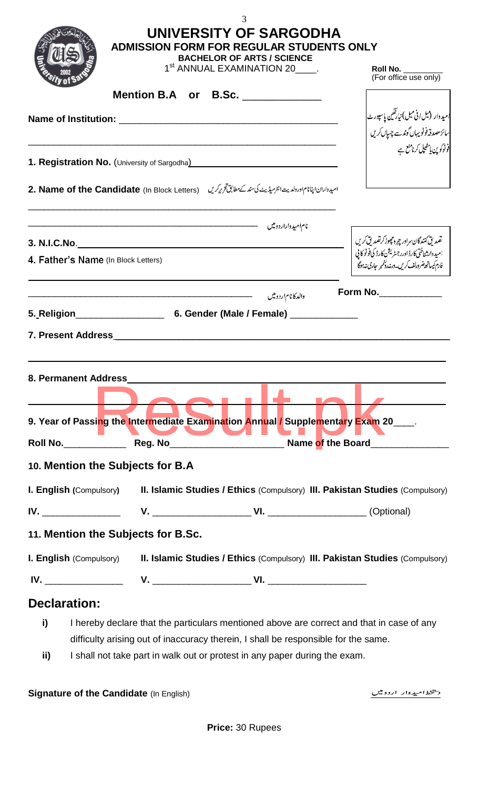|              |                                                                                                                                                                                                                                      | 3<br>UNIVERSITY OF SARGODHA<br><b>ADMISSION FORM FOR REGULAR STUDENTS ONLY</b><br><b>BACHELOR OF ARTS / SCIENCE</b><br>1 <sup>st</sup> ANNUAL EXAMINATION 20 . | Roll No.<br>(For office use only)                                                                                                                                            |
|--------------|--------------------------------------------------------------------------------------------------------------------------------------------------------------------------------------------------------------------------------------|----------------------------------------------------------------------------------------------------------------------------------------------------------------|------------------------------------------------------------------------------------------------------------------------------------------------------------------------------|
|              |                                                                                                                                                                                                                                      | Mention B.A or B.Sc. _____________                                                                                                                             |                                                                                                                                                                              |
|              |                                                                                                                                                                                                                                      |                                                                                                                                                                |                                                                                                                                                                              |
|              |                                                                                                                                                                                                                                      |                                                                                                                                                                | میدوار (میل/فی میل) نیارنگین پاسپورٹ <br> <br> سائز مصدقہ فوٹو یہاں گوندسے چسپاں کریں                                                                                        |
|              |                                                                                                                                                                                                                                      | 1. Registration No. (University of Sargodha) [19] [19] Registration No. (University of Sargodha)                                                               | .<br>د ٹوکوین پائیلپل کرنامنع ہے                                                                                                                                             |
|              |                                                                                                                                                                                                                                      |                                                                                                                                                                |                                                                                                                                                                              |
|              |                                                                                                                                                                                                                                      | اميدواران اپنانام اورولديت انثر ميدُيث كى سند كے مطابق تحرير كريں (In Block Letters) 1. Name of the Candidate                                                  |                                                                                                                                                                              |
|              |                                                                                                                                                                                                                                      |                                                                                                                                                                |                                                                                                                                                                              |
|              |                                                                                                                                                                                                                                      |                                                                                                                                                                |                                                                                                                                                                              |
|              | 4. Father's Name (In Block Letters)                                                                                                                                                                                                  |                                                                                                                                                                | نضد لي كنندگان سراور چ <sub>ر</sub> ه تچ <i>هوڈ كرنضد</i> لي كريں<br>اميد دارشناختى كارڈ اورر جسٹریشن كارڈ كى فوٹو كا پى<br>فارم كيساتھ ضرورلف كريں۔درنہ دلخمبر حارى نہ ہوگا |
|              |                                                                                                                                                                                                                                      | والدكانام اردومين                                                                                                                                              | Form No._____________                                                                                                                                                        |
|              |                                                                                                                                                                                                                                      |                                                                                                                                                                |                                                                                                                                                                              |
|              | <b>7. Present Address and Service Service Service Service Service Service Service Service Service Service Service Service Service Service Service Service Service Service Service Service Service Service Service Service Servic</b> |                                                                                                                                                                |                                                                                                                                                                              |
|              |                                                                                                                                                                                                                                      |                                                                                                                                                                |                                                                                                                                                                              |
|              | 8. Permanent Address                                                                                                                                                                                                                 |                                                                                                                                                                |                                                                                                                                                                              |
|              |                                                                                                                                                                                                                                      | 9. Year of Passing the Intermediate Examination Annual / Supplementary Exam 20____.                                                                            |                                                                                                                                                                              |
|              |                                                                                                                                                                                                                                      |                                                                                                                                                                |                                                                                                                                                                              |
|              | 10. Mention the Subjects for B.A                                                                                                                                                                                                     |                                                                                                                                                                |                                                                                                                                                                              |
|              |                                                                                                                                                                                                                                      | <b>I. English (Compulsory) II. Islamic Studies / Ethics (Compulsory) III. Pakistan Studies (Compulsory)</b>                                                    |                                                                                                                                                                              |
|              |                                                                                                                                                                                                                                      |                                                                                                                                                                |                                                                                                                                                                              |
|              | 11. Mention the Subjects for B.Sc.                                                                                                                                                                                                   |                                                                                                                                                                |                                                                                                                                                                              |
|              |                                                                                                                                                                                                                                      | I. English (Compulsory) II. Islamic Studies / Ethics (Compulsory) III. Pakistan Studies (Compulsory)                                                           |                                                                                                                                                                              |
|              |                                                                                                                                                                                                                                      |                                                                                                                                                                |                                                                                                                                                                              |
| Declaration: |                                                                                                                                                                                                                                      |                                                                                                                                                                |                                                                                                                                                                              |
| i)           |                                                                                                                                                                                                                                      | I hereby declare that the particulars mentioned above are correct and that in case of any                                                                      |                                                                                                                                                                              |
|              |                                                                                                                                                                                                                                      | difficulty arising out of inaccuracy therein, I shall be responsible for the same.                                                                             |                                                                                                                                                                              |

**ii)** I shall not take part in walk out or protest in any paper during the exam.

**Signature of the Candidate** (In English)

د <u>پیخط</u> امید وار اردومیں